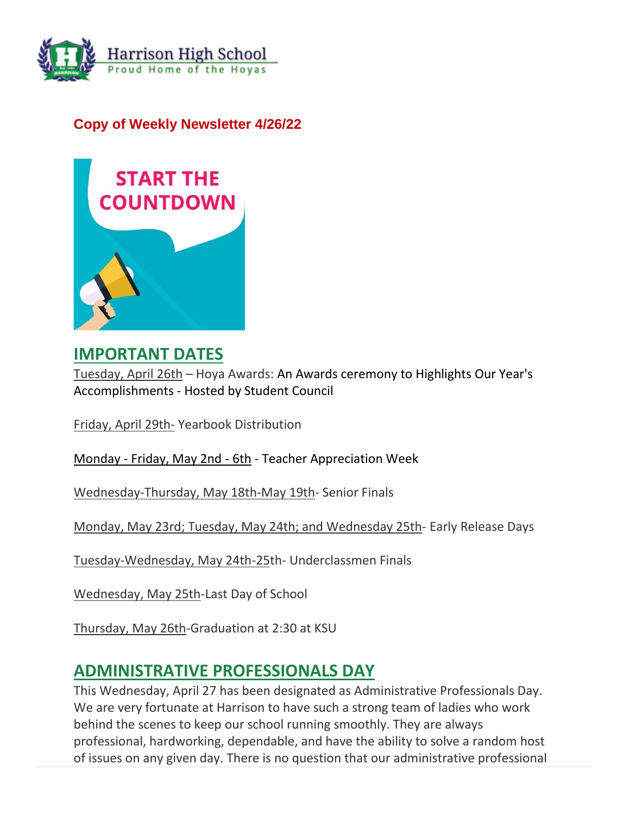

## **Copy of Weekly Newsletter 4/26/22**



## **IMPORTANT DATES**

Tuesday, April 26th – Hoya Awards: An Awards ceremony to Highlights Our Year's Accomplishments - Hosted by Student Council

Friday, April 29th- Yearbook Distribution

Monday - Friday, May 2nd - 6th - Teacher Appreciation Week

Wednesday-Thursday, May 18th-May 19th- Senior Finals

Monday, May 23rd; Tuesday, May 24th; and Wednesday 25th- Early Release Days

Tuesday-Wednesday, May 24th-25th- Underclassmen Finals

Wednesday, May 25th-Last Day of School

Thursday, May 26th-Graduation at 2:30 at KSU

## **ADMINISTRATIVE PROFESSIONALS DAY**

This Wednesday, April 27 has been designated as Administrative Professionals Day. We are very fortunate at Harrison to have such a strong team of ladies who work behind the scenes to keep our school running smoothly. They are always professional, hardworking, dependable, and have the ability to solve a random host of issues on any given day. There is no question that our administrative professional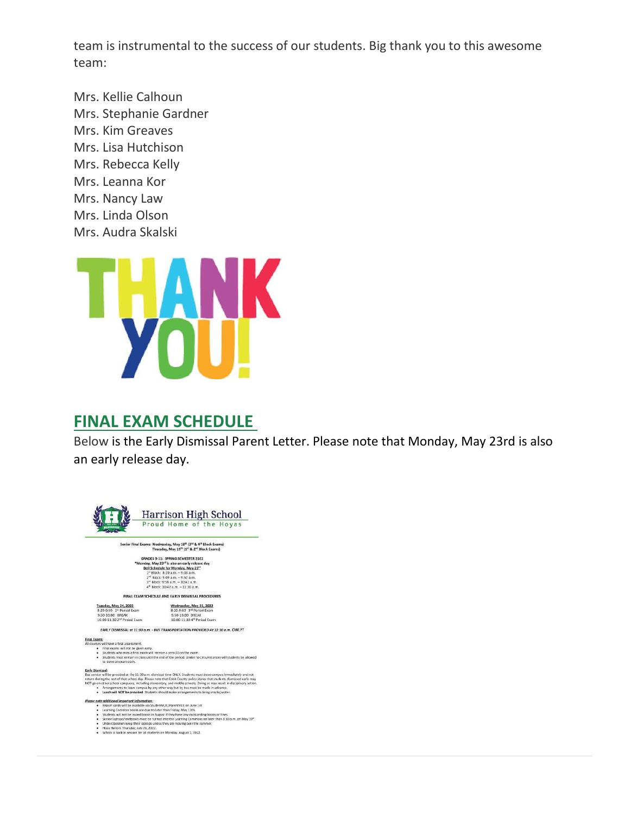team is instrumental to the success of our students. Big thank you to this awesome team:

Mrs. Kellie Calhoun Mrs. Stephanie Gardner Mrs. Kim Greaves Mrs. Lisa Hutchison Mrs. Rebecca Kelly Mrs. Leanna Kor Mrs. Nancy Law Mrs. Linda Olson Mrs. Audra Skalski



## **FINAL EXAM SCHEDULE**

Below is the Early Dismissal Parent Letter. Please note that Monday, May 23rd is also an early release day.

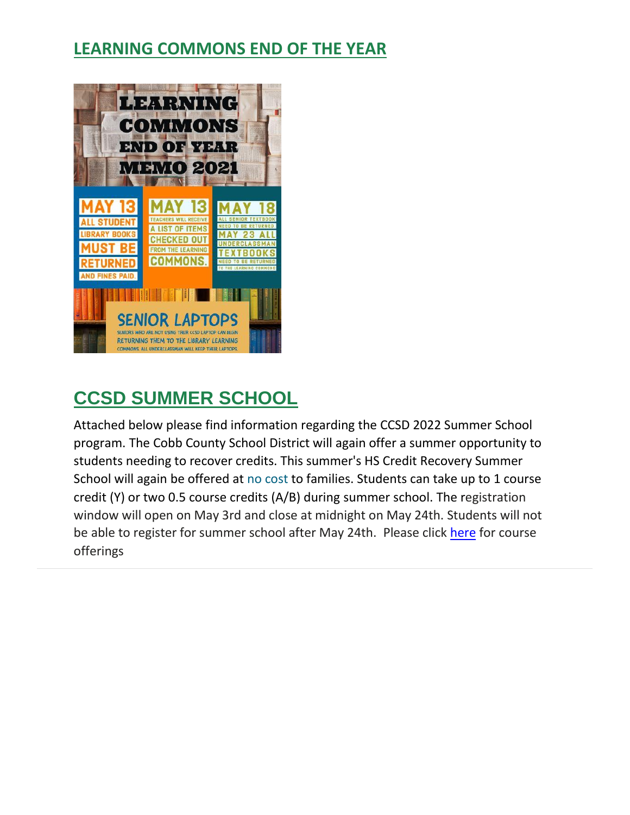# **LEARNING COMMONS END OF THE YEAR**



# **CCSD SUMMER SCHOOL**

Attached below please find information regarding the CCSD 2022 Summer School program. The Cobb County School District will again offer a summer opportunity to students needing to recover credits. This summer's HS Credit Recovery Summer School will again be offered at no cost to families. Students can take up to 1 course credit (Y) or two 0.5 course credits (A/B) during summer school. The registration window will open on May 3rd and close at midnight on May 24th. Students will not be able to register for summer school after May 24th. Please click [here](http://url503.cobbk12.org/ls/click?upn=G8An3K6JlHsR8QtKBFuzdogXPJqD3Uz2QqY8s2OfxyiqQu8QiElyJT0XgwIDVlSVxcqBI2rN58KOWFd1RoP9KLM95tf-2Fvht8sYs55SNrALy4mpWYIlZTDgjLu6H8CfVq0zQ7OcKhmhX24puMqws88bhzDXDNNgCwJtiQgYHoQeI16cazgc-2F-2BCTtnqb2N-2BkzQYHnJS2GcNOBvYDMLsfO-2BWlDoAOvq0cwYQ4Js-2FEuam8B6ZPWLQ773SRP-2F3-2BgYb1FpQO4TtvMLYcpr28rNECdiIMX2bWhcXkkMpRt5ktH2Bt-2F3CXAXuG03jezeIy-2FAuHftGp81jdSUc4QEZex16-2F8vbYMtkLPazMGnEum5Lmza8kxCaydaIH9J3CSHaFX02I9CQ-2BjVga3L9gv-2Bmh63wyASJ5hJ7TyP7-2F-2FjICc5HB9YniVPBii-2BmWmQsFhQMcd-2BjEZ3KSh5PvEX1CPwEAIciLitcrElQzkX3bOzTMEbU6FPAt5OepPEXtBTLxcnO0rIEVtivcNQSIOpI12OuQ3oUFWhu-2B6q1U-2Bqkju8MKbISHLiF8xNaxwrmkYJGQitAbqk2offK1bBe0l1tiP8DZD-2FateVrBZBOvUS83bJGK1a5lcdz-2F0-3DGyop_W-2BfLYUoUwwI1tuGClKRhhPOSepcZIFoXnUIMjiA717kQ1i13BNQTwwJ9cl-2BWArXr6-2FDxoCbNFrRaplJKtN7fZ8-2FYatcHKGqAwwwvGM9nASH8dIzziuWWcjYw7Yt94mI42eZiJkVC7Uza1TQvSJko-2F6Lvjpp5t46qnEFq63UxmW4l20u7YEormV-2FZqEWFZmHP7Entk0vk2ZbU36wB8jtGU4y17KIsGQdT9LkMgedm-2BJGdMZ3uDpKcB2Odl7hZ6IYfk91Gnw2NoD5ALM-2Fdf4Et4A-3D-3D) for course offerings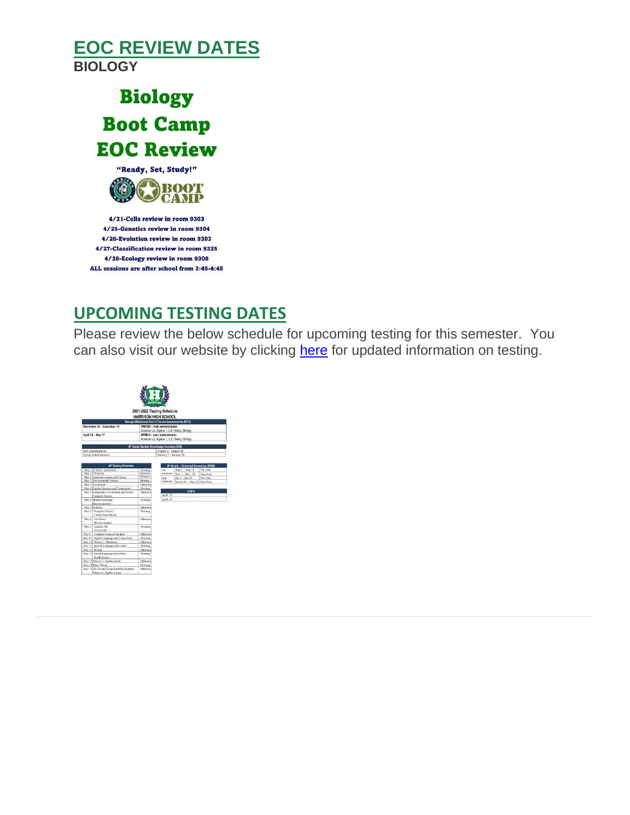# **EOC REVIEW DATES BIOLOGY**



4/25-Genetics review in room 9304 4/26-Evolution review in room 9303 4/27-Classification review in room 9325 4/28-Ecology review in room 9308 ALL sessions are after school from 3:45-4:45

# **UPCOMING TESTING DATES**

Please review the below schedule for upcoming testing for this semester. You can also visit our website by clicking [here](http://url503.cobbk12.org/ls/click?upn=kYpeu9rJVSU1acS4VG0V9dP8zXnygu7Up5qBE7usQ1gjJ2KuMFhtfI2x-2Ff4v7Mfrxjo-2FzJAMzmBp1pISxXOAxaTI-2FtsKP50Bsk89nbXR3XJAJCp4SMvzwg6Tk229l-2FQsOMEfemgC1IFBzcY1D5ggyNRVPKqpOXg7TH-2BXWGP5f3tcMEEgOEviaSyB1Mk33YmIhuO0VpSeaSgzAVdUa-2FY0Z4q7u-2BCgio5JkixgloDxe5rCqkgbIX9YN6AuDWwdqpAmNanLVzxBfeEHEFjmJRO5fUWWQvCuedyqcT8NlElE51ffwTetUS2fzAnjriJAfwf6pZ4jh1ivqLlXvYUC1q-2BTsTkkEFJrpsr20C1hlep9C1bLFOfrl7BlZY1cuYZb4G-2BqNFqGfNhf15zaMRNUH0mOJk2qBOcOdRcADRwfE6B-2BXts4DjHP0d3Li34z3OXMgBCE5q1PnPzoPfx0QILqBTd6ROv-2BYX2H6WPF5n3y1cik6UVD0jZPDMTtdgsIS5We8btT3INH0BDUfMb-2BovWvn9Pbo43SnLwP-2BaTLm1vj2yAIDtTjNBaMZnMsYWPlSDoJG2IkN8IGUFzNoiScY-2BODg1AevBy2xeYYOfJ6zBnk0akc5dMk0BDVycwIaAmhLYYMXAsgIWt5WchnIugFDS0-2FWX9CnayOgfKt-2Bv8uBtd6ogkxKNjIj2hSV8nUpuasQwkAJ-2B9Pes-2F3ORW6ZrQcWt2QnyG-2FFJY5tRIBZ1Bhme2kNmJLI9V2eCnblDLdaT2fu4GctN0dmsHiTE0AXq1Gd3v5HKFJUc5SY7dAYw-2Bu-2Bbrw1zDFtpFoCflJjgV1WGkyVvLTEvKsknWu6thnUsP3oIv9ocXUuBDdwTF8QFU2-2BSrXsXnFAsW5e15vkwOsSsbvfzxmIDnSsEO3aKDPuGBmjbo5voj-2F06fohlEauFwfNpGqLC9w4fG4wIvTAFhYv7oAhO9j5pDtoOuxWMPmeK1ZQP5klpc3kgfHjL9BtPf2ry9vTp3O1Kd8pDvF49V5dwZCoUfMKqVUq2G7cf76CC5VQJUQPtiptKms9XgxQvZ9L4mZn5qFlLxYW7Ge9NHplLHGKBG0I-2BKdxf2ku3MqlQCOVu-2FZYg-2BJs6yldme63o-2F7e8MQ9cLDdZJRoCfVFYlWx-2F-2FbGbxp1HmFg5rfYS-2F9i0PHaGueFDfDbfbWLIoNysylncDssy5F-2BU1aW-2Bf-2F3nMtO7HBdAzDScRvXiwX_W-2BfLYUoUwwI1tuGClKRhhPOSepcZIFoXnUIMjiA717kQ1i13BNQTwwJ9cl-2BWArXr6-2FDxoCbNFrRaplJKtN7fZ8-2FYatcHKGqAwwwvGM9nASH8dIzziuWWcjYw7Yt94mI4MHERfATovXrgWmAxcMp3H6tJJG-2F8LCr4gbGVMIMkyRC8NvO0WX52GG-2BOK6hJN4CY0GGJa9C4Q7jN-2F01kQyz6XEgtuto7QuuAuRGO1P6vwVbwK7ZXkp4CEftGGw5JWzgvn6C7r6y-2B-2FepJe3oPRukndw-3D-3D) for updated information on testing.

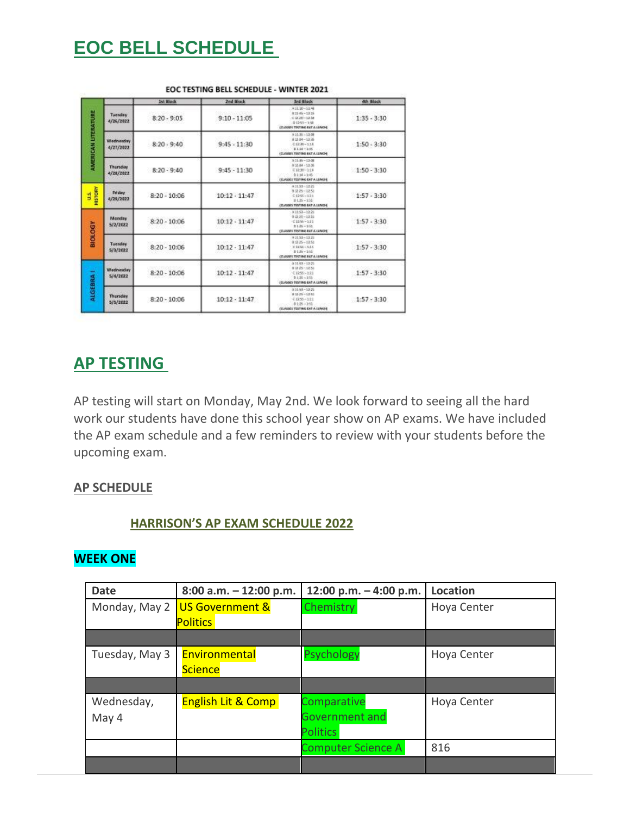# **EOC BELL SCHEDULE**

|                            |                        | 1st Block      | 2nd Block       | <b>Ind Block</b>                                                                                              | <b><i><b>Ath Block</b></i></b> |
|----------------------------|------------------------|----------------|-----------------|---------------------------------------------------------------------------------------------------------------|--------------------------------|
| <b>AMERICAN LITERATURE</b> | Tuesday<br>4/26/2022   | $8:20 - 9:05$  | $9:10 - 11:05$  | A11:30~1:1.48<br>$0.21 - 1.23.15$<br>$0.2120 - 13.18$<br>01203-148<br>(DARGE TISTING IAT A LENDS)             | $1:35 - 3:30$                  |
|                            | Wednesday<br>4/27/2022 | $8:20 - 9:40$  | $9:45 - 11:30$  | $A31:35 - 12:08$<br>83104-13105<br>0.1239-1.18<br>$0.144 - 3.46$<br>(DANIEL TESTING BAT A LENDER              | $1:50 - 3:30$                  |
|                            | Thursday<br>4/28/2022  | $8:20 - 9:40$  | $9:45 - 11:30$  | $A = 1.00 - 1.1.00$<br>83544 - 13-36<br>$C1230 - 218$<br>$9134 - 245$<br><b>ITLASSES TESTING EAT A LUND 6</b> | $1:50 - 3:30$                  |
| HISTORY<br>ś               | Friday<br>4/29/2021    | $8-20-10:06$   | $10:12 - 11:47$ | $A 1158 - 1221$<br>9328-1251<br>$0.1256 - 0.11$<br>$2125 - 135$<br>(CLAIMS TRYING BAT A LUNDS)                | $1:57 - 3:30$                  |
| <b>NDOTOR</b>              | Monday<br>5/2/2022     | $8:20 - 10:06$ | $10:12 - 11:47$ | $A31:53 - 12:21$<br>$0.0125 - 13.53$<br>$-21000 - 215$<br>$2.131 - 310$<br>(DAMA) TISTING BIT A GINDE         | $1:57 - 3:30$                  |
|                            | Tuesday<br>5/3/2022    | $8:20 - 10:06$ | $10:12 - 11:47$ | 83151-1326<br>$9.025 - 10.51$<br>$C1100 - 535$<br>$0.126 - 330$<br>(CLASSES TESTING EAT A LUNCH)              | $1:57 - 3:30$                  |
| <b>ALGEBRA</b>             | Wednesday<br>5/4/2022  | $8:20 - 10:06$ | $10:12 - 11:47$ | $A 31A1 - 13A25$<br>832-25-12.51<br>C1255~233<br>$9135 - 155$<br><b>IDJANS TESTING EAT A LUNCH</b>            | $1:57 - 3:30$                  |
|                            | Thursday<br>5/5/2022   | $8:20 - 10:06$ | $10:12 - 11:47$ | $A31A1 - 13.21$<br>$8.33(29 - 13.12)$<br>$4.1258 - 1011$<br>$-0.128 - 2.51$<br>(DASSE) TESTING EAT A LUNCHE   | $1:57 - 3:30$                  |

EOC TESTING BELL SCHEDULE - WINTER 2021

## **AP TESTING**

AP testing will start on Monday, May 2nd. We look forward to seeing all the hard work our students have done this school year show on AP exams. We have included the AP exam schedule and a few reminders to review with your students before the upcoming exam.

### **AP SCHEDULE**

### **HARRISON'S AP EXAM SCHEDULE 2022**

### **WEEK ONE**

| <b>Date</b>    | $8:00$ a.m. $-12:00$ p.m.     | 12:00 p.m. - 4:00 p.m.    | Location    |  |
|----------------|-------------------------------|---------------------------|-------------|--|
| Monday, May 2  | <b>US Government &amp;</b>    | Chemistry                 | Hoya Center |  |
|                | <b>Politics</b>               |                           |             |  |
|                |                               |                           |             |  |
| Tuesday, May 3 | Environmental                 | <b>Psychology</b>         | Hoya Center |  |
|                | <b>Science</b>                |                           |             |  |
|                |                               |                           |             |  |
| Wednesday,     | <b>English Lit &amp; Comp</b> | Comparative               | Hoya Center |  |
| May 4          |                               | <b>Government and</b>     |             |  |
|                |                               | <b>Politics</b>           |             |  |
|                |                               | <b>Computer Science A</b> | 816         |  |
|                |                               |                           |             |  |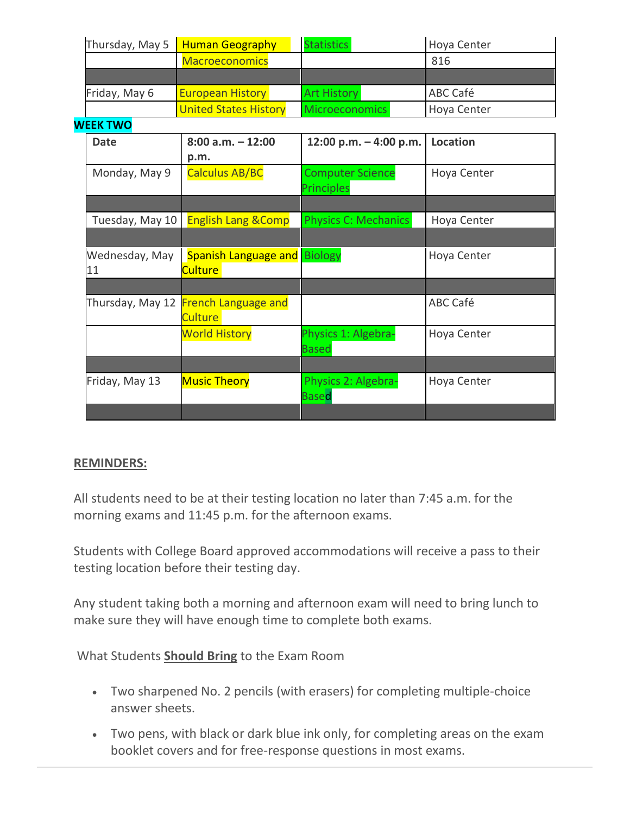|               | Thursday, May 5   Human Geography | <b>Statistics</b>     | Hoya Center     |  |
|---------------|-----------------------------------|-----------------------|-----------------|--|
|               | <b>Macroeconomics</b>             |                       | 816             |  |
|               |                                   |                       |                 |  |
| Friday, May 6 | <b>European History</b>           | <b>Art History</b>    | <b>ABC Café</b> |  |
|               | <b>United States History</b>      | <b>Microeconomics</b> | Hoya Center     |  |

#### **WEEK TWO**

| <b>Date</b>     | $8:00$ a.m. $-12:00$                 | 12:00 p.m. $-$ 4:00 p.m.    | <b>Location</b> |
|-----------------|--------------------------------------|-----------------------------|-----------------|
|                 | p.m.                                 |                             |                 |
| Monday, May 9   | <b>Calculus AB/BC</b>                | <b>Computer Science</b>     | Hoya Center     |
|                 |                                      | <b>Principles</b>           |                 |
|                 |                                      |                             |                 |
| Tuesday, May 10 | <b>English Lang &amp; Comp</b>       | <b>Physics C: Mechanics</b> | Hoya Center     |
|                 |                                      |                             |                 |
| Wednesday, May  | <b>Spanish Language and</b>          | <b>Biology</b>              | Hoya Center     |
| 11              | Culture                              |                             |                 |
|                 |                                      |                             |                 |
|                 | Thursday, May 12 French Language and |                             | ABC Café        |
|                 | <b>Culture</b>                       |                             |                 |
|                 | <b>World History</b>                 | Physics 1: Algebra-         | Hoya Center     |
|                 |                                      | <b>Based</b>                |                 |
|                 |                                      |                             |                 |
| Friday, May 13  | <b>Music Theory</b>                  | Physics 2: Algebra-         | Hoya Center     |
|                 |                                      | <b>Based</b>                |                 |
|                 |                                      |                             |                 |

### **REMINDERS:**

All students need to be at their testing location no later than 7:45 a.m. for the morning exams and 11:45 p.m. for the afternoon exams.

Students with College Board approved accommodations will receive a pass to their testing location before their testing day.

Any student taking both a morning and afternoon exam will need to bring lunch to make sure they will have enough time to complete both exams.

What Students **Should Bring** to the Exam Room

- Two sharpened No. 2 pencils (with erasers) for completing multiple-choice answer sheets.
- Two pens, with black or dark blue ink only, for completing areas on the exam booklet covers and for free-response questions in most exams.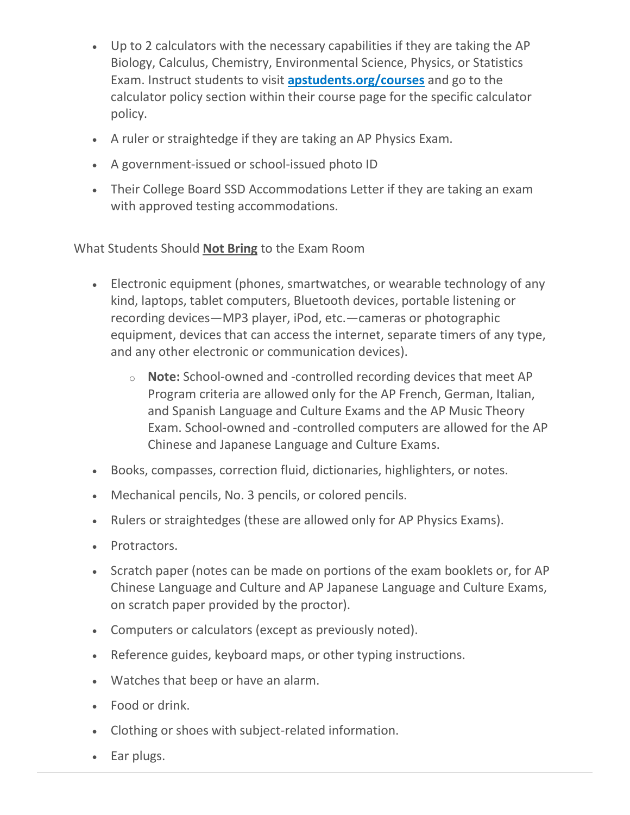- Up to 2 calculators with the necessary capabilities if they are taking the AP Biology, Calculus, Chemistry, Environmental Science, Physics, or Statistics Exam. Instruct students to visit **[apstudents.org/courses](http://url503.cobbk12.org/ls/click?upn=QnVQymdXNhN9mB1Yo7ti6HzWEgkJB76rPptPQeZ-2F4QqAA0eV4rm2ei8Tnp3FmH4EhTfKL9rZQnkzQVb4zmcIdA-3D-3Dbdse_W-2BfLYUoUwwI1tuGClKRhhPOSepcZIFoXnUIMjiA717kQ1i13BNQTwwJ9cl-2BWArXr6-2FDxoCbNFrRaplJKtN7fZ8-2FYatcHKGqAwwwvGM9nASH8dIzziuWWcjYw7Yt94mI44T7euba699gVmFOAmoT9iGy-2F5j7aFau1cBZwTZxUSmH3tKFnX55HpzFk2nWcH-2BnJpX82xA7uY8Soc8DW5j5xraNNhdto-2B7T-2B3pOooIhjHsnGK9TrSt8kVKfPR9EH6d7-2F9BfRSJ-2FFQtrqr4VoQw2fnw-3D-3D)** and go to the calculator policy section within their course page for the specific calculator policy.
- A ruler or straightedge if they are taking an AP Physics Exam.
- A government-issued or school-issued photo ID
- Their College Board SSD Accommodations Letter if they are taking an exam with approved testing accommodations.

What Students Should **Not Bring** to the Exam Room

- Electronic equipment (phones, smartwatches, or wearable technology of any kind, laptops, tablet computers, Bluetooth devices, portable listening or recording devices—MP3 player, iPod, etc.—cameras or photographic equipment, devices that can access the internet, separate timers of any type, and any other electronic or communication devices).
	- o **Note:** School-owned and -controlled recording devices that meet AP Program criteria are allowed only for the AP French, German, Italian, and Spanish Language and Culture Exams and the AP Music Theory Exam. School-owned and -controlled computers are allowed for the AP Chinese and Japanese Language and Culture Exams.
- Books, compasses, correction fluid, dictionaries, highlighters, or notes.
- Mechanical pencils, No. 3 pencils, or colored pencils.
- Rulers or straightedges (these are allowed only for AP Physics Exams).
- Protractors.
- Scratch paper (notes can be made on portions of the exam booklets or, for AP Chinese Language and Culture and AP Japanese Language and Culture Exams, on scratch paper provided by the proctor).
- Computers or calculators (except as previously noted).
- Reference guides, keyboard maps, or other typing instructions.
- Watches that beep or have an alarm.
- Food or drink.
- Clothing or shoes with subject-related information.
- Ear plugs.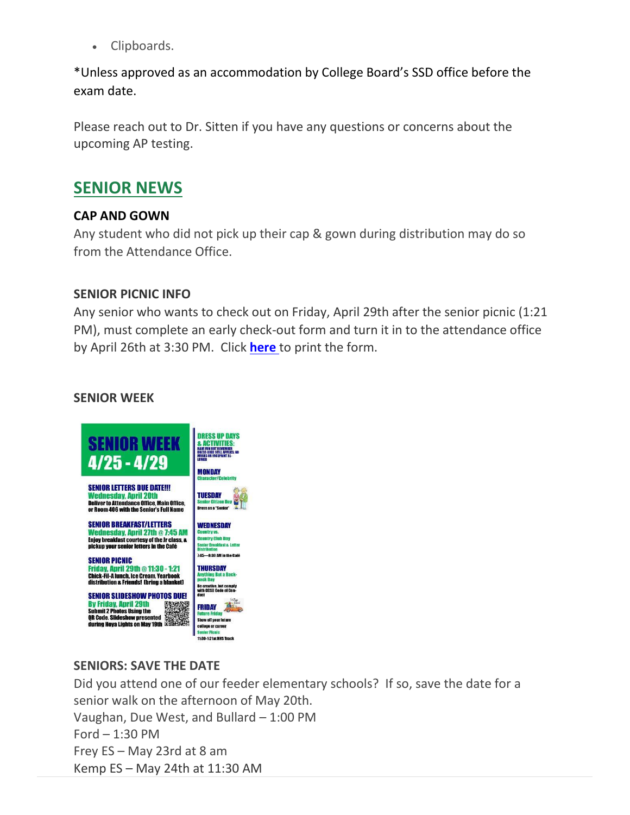• Clipboards.

\*Unless approved as an accommodation by College Board's SSD office before the exam date.

Please reach out to Dr. Sitten if you have any questions or concerns about the upcoming AP testing.

## **SENIOR NEWS**

## **CAP AND GOWN**

Any student who did not pick up their cap & gown during distribution may do so from the Attendance Office.

## **SENIOR PICNIC INFO**

Any senior who wants to check out on Friday, April 29th after the senior picnic (1:21 PM), must complete an early check-out form and turn it in to the attendance office by April 26th at 3:30 PM. Click **[here](http://url503.cobbk12.org/ls/click?upn=kYpeu9rJVSU1acS4VG0V9dP8zXnygu7Up5qBE7usQ1ge7I2QSEuv2APaQuIa8x0SfNNzVhu-2FzuTLLNHDo4H9B-2FS-2BoCXMUyalfdWpWAjyUruaG8cL7Pf72aZpkVzX-2BATCcUAz-2FtdJmTEEOFsSIW8GA2BeV0btYfEZgvWRKuEZZ-2BG2WPr9QseMO9nVfA2YJoqDjoHKX8hQpBL9Nekgqv70-2B89D0i-2FVuVJ2qcGvLnXphZNAS29GkTKh7aZbNeQLD1Wh0aSOkPaYc3blXnw7d9ze2Sz9y4dio1A9HzXt081XoJiMEG6uixzIOiQGhnU1dQFin3I1Io3pJmLCYzj5zrrxuEg9o3TsZA4tnW9mEAqJvO4uJD282PIIR98rqDb64vjoHxCsWOkV1iY7eTiYTxwJThmsM29fySI9bzCj7Kn-2BaYq4cDn-2FP2NFsSjxi-2FrwpI6pnGzHANgAS6qvylraimT9bbeMPI1-2FcDdHoZlBSFRMe1S5FDH1Lv6UHGXlcGpbhkAod3eo5IeYeEFZl3Z5Q6T49WwTMTw8DsLvdeNEyFQLy3AeW7KSMofU69r-2BrE1y6bFyYz7VmZgCtOFvyF-2Bgy4AhOA-3D-3DMuOn_W-2BfLYUoUwwI1tuGClKRhhPOSepcZIFoXnUIMjiA717kQ1i13BNQTwwJ9cl-2BWArXr6-2FDxoCbNFrRaplJKtN7fZ8-2FYatcHKGqAwwwvGM9nASH8dIzziuWWcjYw7Yt94mI4rK6GRvaD2zeR0hhnmE88-2Fb-2BBSxnsxJlI38IHX6oWd2VI5G3ojP3p89vs6ntX1042jocivRYjtUQuPzIRHTbVAYwhGFYs4zAAeV9rWZNZTJEihHXj-2FArl1ZAVGuPmO0bOjdsyIgO8DZ-2BHPWgvJSEBfQ-3D-3D)** to print the form.

## **SENIOR WEEK**



## **SENIORS: SAVE THE DATE**

Did you attend one of our feeder elementary schools? If so, save the date for a senior walk on the afternoon of May 20th. Vaughan, Due West, and Bullard – 1:00 PM Ford – 1:30 PM Frey ES – May 23rd at 8 am Kemp ES – May 24th at 11:30 AM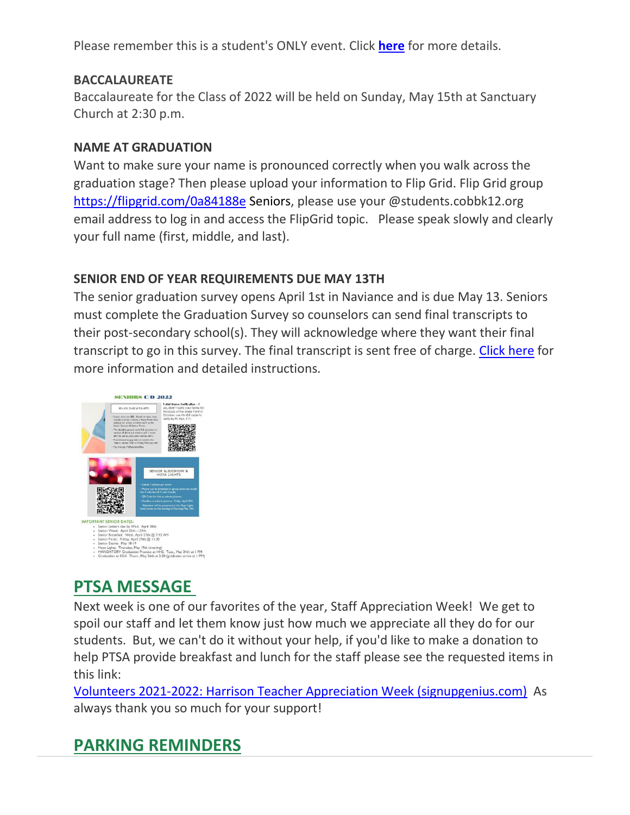Please remember this is a student's ONLY event. Click **[here](http://url503.cobbk12.org/ls/click?upn=HU5K2q0Fz5ADTGboxPzOzUx-2FoxqvD40X8ef2vsqiBoK5Aluz-2B-2FV-2B0dcKM-2B-2BvT2tGXYAbR0DHQ-2BOcFspIPjcNl9reKXyQ8kM3d2p5MR2dgXTHGmUt0epyfSyD0aXmTuu-2BtMrSitMsCMBpnv-2FxQN8cfvt2NSVbKweijP2ITY4cVK9pBBLgmyPaypXH-2Bzd-2BPs7CY-4o_W-2BfLYUoUwwI1tuGClKRhhPOSepcZIFoXnUIMjiA717kQ1i13BNQTwwJ9cl-2BWArXr6-2FDxoCbNFrRaplJKtN7fZ8-2FYatcHKGqAwwwvGM9nASH8dIzziuWWcjYw7Yt94mI4VoV5Dtwf2vQzmGwco-2FZ85b8fmRayp27T8esM1Z8mRj0dHPYSsNeh9N3xJYH6LjArrYKObe9yZ0E8gJ-2By23yIAkmASyjmfRlV1syFcSqLLVXbRN7SpIgPeCwk9CgKqfClvT0YeEVBab4uXuQOk7gYtQ-3D-3D)** for more details.

## **BACCALAUREATE**

Baccalaureate for the Class of 2022 will be held on Sunday, May 15th at Sanctuary Church at 2:30 p.m.

## **NAME AT GRADUATION**

Want to make sure your name is pronounced correctly when you walk across the graduation stage? Then please upload your information to Flip Grid. Flip Grid group [https://flipgrid.com/0a84188e](http://url503.cobbk12.org/ls/click?upn=kYpeu9rJVSU1acS4VG0V9dP8zXnygu7Up5qBE7usQ1gecV2TljFL8x98-2BlIBHTra483oT8HWv3BxbUy1y3g1YWHrQH0DX0eRwzNdJR-2B4b9dqruBNiAV-2FBwoG5u1-2BRTjtGdWhnranwNUsKmvfhiore0F4WG28ErQuPSBv4PmuQli4oKOl9Zb7CyPGSUwYsp4eVXI8uPnJB1ksmBTfTdiVtPDR54uVC8T5Bh1WNZaMlJiqTRKY6c5pASqP27OGciYyv8ehHXV8sXx04sjWTFHN9Mtk2CryjHcnW-2FdMcZrlG-2F-2FK1pjbHXoIi-2FfXFyeo1WncQxDG8r9m7yjpuue5pGVwpbdr5GM1I0ZKVWLtPPPQ8cmi7vwDjn7Sk7k6pJomplX6DsbsnlezSNcQdi-2BkmWhpknP7dvIy-2FCH2u4z6BXk1AOOrx2-2F7HgSEJg6ra6FQ8BL3o1UbiqIy8dPbdQVWdxEfgZOy8HbZb9uqH4G3kk9LCcM-3D67Gh_W-2BfLYUoUwwI1tuGClKRhhPOSepcZIFoXnUIMjiA717kQ1i13BNQTwwJ9cl-2BWArXr6-2FDxoCbNFrRaplJKtN7fZ8-2FYatcHKGqAwwwvGM9nASH8dIzziuWWcjYw7Yt94mI4d3gTH7sutTQoqa0x8Q00lZxpp-2Bgag-2BlFjzdjgaaUQ5cr3g6IgkvdGVR-2B6ociv6etbp89jd9Wk5vqIRbfv4ZMGuqeJRsCUHS6Cj-2FWu-2BFXFBLSTyMCl5yDRamSX9eyM3WOjV0u0p1g7CdMpNu3x-2F-2BVnA-3D-3D) Seniors, please use your @students.cobbk12.org email address to log in and access the FlipGrid topic. Please speak slowly and clearly your full name (first, middle, and last).

## **SENIOR END OF YEAR REQUIREMENTS DUE MAY 13TH**

The senior graduation survey opens April 1st in Naviance and is due May 13. Seniors must complete the Graduation Survey so counselors can send final transcripts to their post-secondary school(s). They will acknowledge where they want their final transcript to go in this survey. The final transcript is sent free of charge. [Click here](http://url503.cobbk12.org/ls/click?upn=HU5K2q0Fz5ADTGboxPzOzUx-2FoxqvD40X8ef2vsqiBoLQCWvugYev7fVF7I3y-2BdLP7NxqSqaQL-2FzdjeF9qOa-2BHyorUEcRHpWE7oEZmy11YSLzQMVFaHtJIWVJimXD4fMy-2BAlRVJaQAcAwnOlGPWAxv66CMFQuG5-2B7271ls9j1YIN-2FFtiSnIk93GkBdmdabCULhEXL_W-2BfLYUoUwwI1tuGClKRhhPOSepcZIFoXnUIMjiA717kQ1i13BNQTwwJ9cl-2BWArXr6-2FDxoCbNFrRaplJKtN7fZ8-2FYatcHKGqAwwwvGM9nASH8dIzziuWWcjYw7Yt94mI4ImtnZQvm3HkCXGDSxywyqC-2FpvbpJzky2OsyqJFiSTRateH24CBBODJKeE4msogLXGPc4QkZ10VmFuURPw3S6AmQ1swHbP9nmcOWO0TXpfhlY7redl8z8NibNDWHqXlYrT45wHE0KaWMulbL6-2FYgF6A-3D-3D) for more information and detailed instructions.



# **PTSA MESSAGE**

Next week is one of our favorites of the year, Staff Appreciation Week! We get to spoil our staff and let them know just how much we appreciate all they do for our students. But, we can't do it without your help, if you'd like to make a donation to help PTSA provide breakfast and lunch for the staff please see the requested items in this link:

Volunteers 2021-2022: [Harrison Teacher Appreciation Week \(signupgenius.com\)](http://url503.cobbk12.org/ls/click?upn=Q-2BKaVIKfS2AqG1NntRWXIqe3VLrAF6HtQZXW1Eop37-2BHD1-2FJeBI8RcsNCzxppcBz0DlAzN5HVHa4jFBsYhEq-2FTtx4F3uDw8i0Et4Ko14jOyvmI1H-2BAf5gG-2FKDqhzv-2BKLCWwno-2FakN55PshkPrF06wgDJbOuLrKQ3ZhG9z2-2Fz7q13DSthG-2F8fpXrm-2BwEspJVj5qS8OF4DkAawFOFzwj4NZK7MbjlTw-2FgrDJrhVh-2BCuct-2BxS8Ogo1FxUYwbSLEJz3DI-2FtQcc-2Fti48H36bI4Mo-2BM3QQsZ-2FRBcerhuKqwHHGsfvy0Pm8e52vIrNJZpUA9UNod91eI4WqhEnsbeoAsTO3ar3jSbQZh6mV2-2FB7iQPcPvSjUoIFJz10DM5M26jFlFoQladxN6dQ3-2FYVrTPwPykS6ik-2FQ5adAx7D9DBPnkh5SaGcgajvUyw-2FSMBXHCtGB2rCiXAUIEU-2BnCIxBndYG3oXBgLFJCTxjWkj78JThm3aTs5ecdjA0mzBx-2BLrUl8EUo6xPSfEkg6-2BWoQZXU5CO3zJzoJED-2BqH4KhUNAWGYOtsU4FcYWLauT4eLEK7zAfy5zwP-2FCycEXoRbYP61dxjVOBKow-3D-3DOpWS_W-2BfLYUoUwwI1tuGClKRhhPOSepcZIFoXnUIMjiA717kQ1i13BNQTwwJ9cl-2BWArXr6-2FDxoCbNFrRaplJKtN7fZ8-2FYatcHKGqAwwwvGM9nASH8dIzziuWWcjYw7Yt94mI44I9BajjY4m65cMgdxcLyZ5a5RVNYXgdr-2F-2F9jluaWiZGmp-2B-2BddUUrhC0vmZ8q9ZuAd-2BG0axbE0sJ1mWQ6F4GRdx9W0y1R4DjAhJI7rlnZ9TXbJkeFuAVYauVds45TS7kUIQjnCpyYsoS3BMglWeGZMQ-3D-3D) As always thank you so much for your support!

# **PARKING REMINDERS**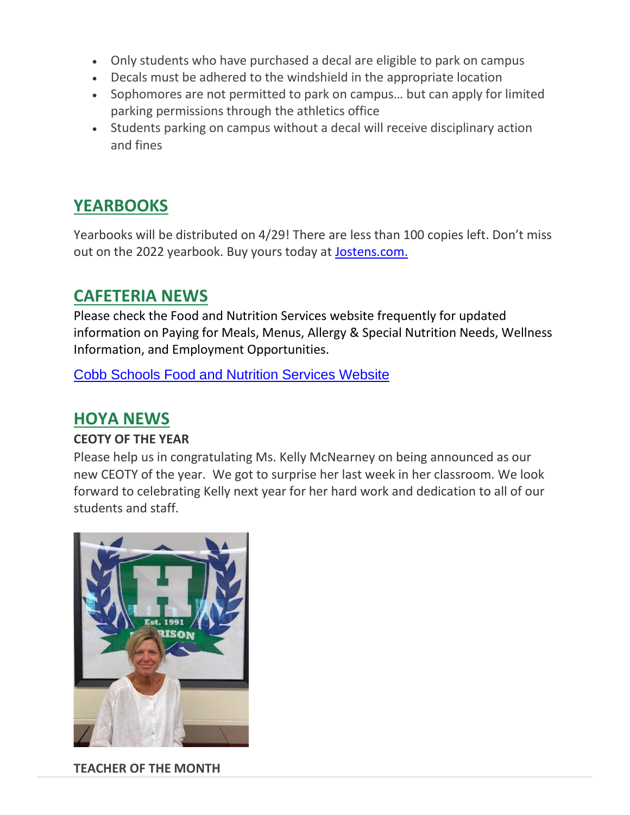- Only students who have purchased a decal are eligible to park on campus
- Decals must be adhered to the windshield in the appropriate location
- Sophomores are not permitted to park on campus… but can apply for limited parking permissions through the athletics office
- Students parking on campus without a decal will receive disciplinary action and fines

# **YEARBOOKS**

Yearbooks will be distributed on 4/29! There are less than 100 copies left. Don't miss out on the 2022 yearbook. Buy yours today at [Jostens.com.](http://url503.cobbk12.org/ls/click?upn=oq5wnnHoD1NAxpT8rNAGXCi6FsaKV2ZDSnjsLHYaUVs-3Dy2MG_W-2BfLYUoUwwI1tuGClKRhhPOSepcZIFoXnUIMjiA717kQ1i13BNQTwwJ9cl-2BWArXr6-2FDxoCbNFrRaplJKtN7fZ8-2FYatcHKGqAwwwvGM9nASH8dIzziuWWcjYw7Yt94mI4Gk-2FMxZDab311cnSfBRokO4QGMpFsBi-2F9P2BkIdz6b2uyTusSqa1wNenVmTJ1Cwm-2FADxxoDLVSJV5GDHCzUabD7kvsT2FMzA8Ri4GRclK0FxFJTR2ii80A0YW1ddIEEjpFsmU4MeDxezJIPb9Go3K3g-3D-3D)

## **CAFETERIA NEWS**

Please check the Food and Nutrition Services website frequently for updated information on Paying for Meals, Menus, Allergy & Special Nutrition Needs, Wellness Information, and Employment Opportunities.

[Cobb Schools Food and Nutrition Services Website](http://url503.cobbk12.org/ls/click?upn=kYpeu9rJVSU1acS4VG0V9dP8zXnygu7Up5qBE7usQ1jRmGDEuj6uzT9FPcnvQys9X5dnPemZru5Ni9W9eLDPVYCMFOqeP9qpwdpInnq0B-2B85Pnvvf95sM3pV11jm5VaJGEJvAtpb-2BAol1iMoX0JCrJK5P6OKolyE8avEok22tlB4O5-2FquESvx5ek-2FrswCaIhodJHX4M-2BKaYpaA1tXWrV7pdyfi6nHzXmH-2FnsIxy5uKjBiMT5eukUonPWLiuAxz-2FGJOw1bFqTtkcweUclAxkPRQz8ycoosBl3d-2FWayeSLfTrLhYM2Ny9Q-2FVfLpJEWBKH7wg6OVA7xFSz19SOmaG6-2BkhbfaDXH9qpSlxsPGgB4g50k204ZVBVFnjl-2FFsDwGpHy7cnQ7TndxRlHL8eXhHNLe2PT-2BNXbID3dgcxauCn9QnoijMTvXsPIKupOS5xzMwOM109ywvPp9aqGBcqij9LW57IeH5JTK8weqcOZW9zJdsG-2F8YGy-2F6GbHAk14rRwLUgdUram6nl3gpWHTaWP787BedmRXUGj68oiLlddYQWVyuG1WhAxgkd59k2M5yxDzMiA-aCW_W-2BfLYUoUwwI1tuGClKRhhPOSepcZIFoXnUIMjiA717kQ1i13BNQTwwJ9cl-2BWArXr6-2FDxoCbNFrRaplJKtN7fZ8-2FYatcHKGqAwwwvGM9nASH8dIzziuWWcjYw7Yt94mI4tadGPdp492N7AULGQuDI7Kr2Xj2tOhTpWuYniRK-2F7AXwlAByu9d8h-2ByVxJS4Gkp1rj1T2QpapyV4GQVVmNOS7vv1dV9DHQRk8xHu8Hybv-2FJbmio3GcOVRxrF1CF5WXIhpm0iXrU1DA1lmUkKGNKTIA-3D-3D)

## **HOYA NEWS**

## **CEOTY OF THE YEAR**

Please help us in congratulating Ms. Kelly McNearney on being announced as our new CEOTY of the year. We got to surprise her last week in her classroom. We look forward to celebrating Kelly next year for her hard work and dedication to all of our students and staff.



**TEACHER OF THE MONTH**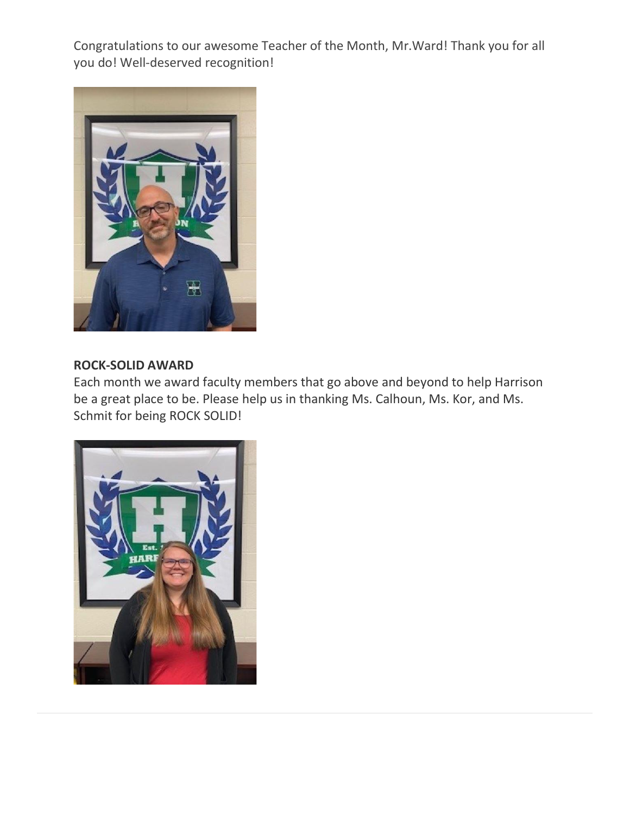Congratulations to our awesome Teacher of the Month, Mr.Ward! Thank you for all you do! Well-deserved recognition!



### **ROCK-SOLID AWARD**

Each month we award faculty members that go above and beyond to help Harrison be a great place to be. Please help us in thanking Ms. Calhoun, Ms. Kor, and Ms. Schmit for being ROCK SOLID!

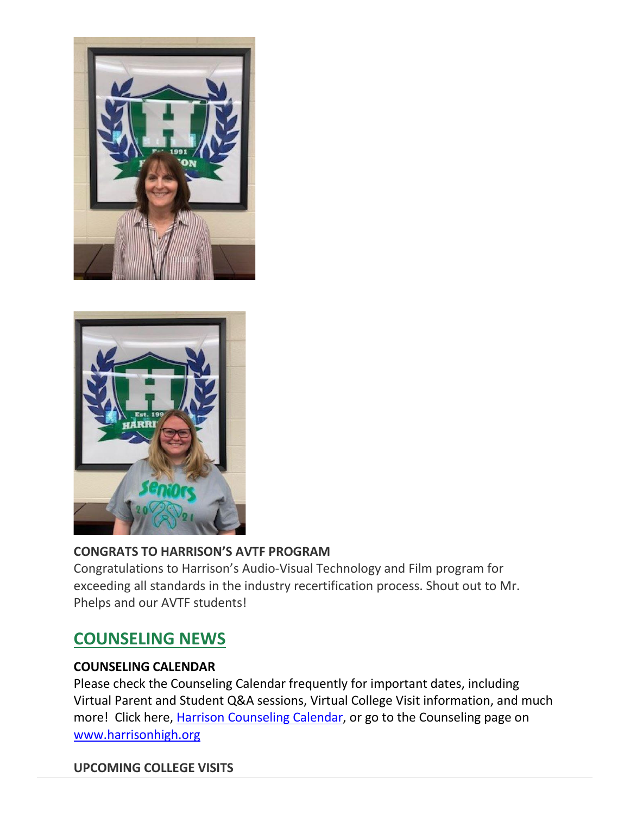



## **CONGRATS TO HARRISON'S AVTF PROGRAM**

Congratulations to Harrison's Audio-Visual Technology and Film program for exceeding all standards in the industry recertification process. Shout out to Mr. Phelps and our AVTF students!

# **COUNSELING NEWS**

## **COUNSELING CALENDAR**

Please check the Counseling Calendar frequently for important dates, including Virtual Parent and Student Q&A sessions, Virtual College Visit information, and much more! Click here, [Harrison Counseling Calendar,](http://url503.cobbk12.org/ls/click?upn=kYpeu9rJVSU1acS4VG0V9dP8zXnygu7Up5qBE7usQ1igGUwZrC6XsT-2BeJUHvB2X-2B0TsDWPPid3SY5dOGZDm42n-2BiKBv1q7RGP37qncUjoK7l9Uj9Qwi1DO0s8aB6P9BNWmAeI3prXLeYz9YS0Ndg-2BqyIE5uw31QDIpRsWkny4f6VyTYKyVFcaq5yUkom3bHRSE6zUO-2FdFqc88d4M8vxAslRze6MrNJmorOLMfogJMzBoOg2uqaLjvBVnrqwiuXa4-2BfqSyCs89mlOWuOFD9a1mZNkDj8lrCUq5cPeegD-2Ff6xX1w4bDjD-2BLNfgxsNq4w7qSlnsCpsPZZTvoU1kTJ3pjn5P3us63f30mqed1KxXvMHgCR9iz4ASXStaWM0KfgAqWImOog1qNURd7eJjBZiABRtG-2FPqEnskonuuO-2FrYRbydLPv55IgVwY6cLpRaZG30T3flv1AmL7ecgaLDffy4Yzx3OjRI696Cmw5ZMjiWXyZlU8I1InadLAfbvVf7Zi-2FKsA20PU4S7T-2BEyQKOu15DCVmpS-2F1-2BhAVrc4lg8QxhCYSCSNcO2wj0VSEmChgoLHBgdhfZaAnphsniE5yZT-2Fs1OMTcduUiassCDw4MOp9jWc0EKRAne0FuDFuRBg63wnT1xBCpZHL3cG444JKaenweyxZjxBVTyIzonuX-2BXF1zzdtk-3D4yoR_W-2BfLYUoUwwI1tuGClKRhhPOSepcZIFoXnUIMjiA717kQ1i13BNQTwwJ9cl-2BWArXr6-2FDxoCbNFrRaplJKtN7fZ8-2FYatcHKGqAwwwvGM9nASH8dIzziuWWcjYw7Yt94mI4iw-2FQt88qQS9SaYXr1Mn0VtvF-2FZATXmV1TKDpDprb0zBqKAZHN-2FNI2c3KezKmUFgz4iqYvxZgYVZLTSrFbcbSuoyZsC-2B2EpOum5IR0k0ZHbllFZMHLmTATy8Ahx9j7-2BOP0-2FI-2FBLYw6RVsUTRNcqW1Lg-3D-3D) or go to the Counseling page on [www.harrisonhigh.org](http://url503.cobbk12.org/ls/click?upn=kYpeu9rJVSU1acS4VG0V9dP8zXnygu7Up5qBE7usQ1jRmGDEuj6uzT9FPcnvQys9X5dnPemZru5Ni9W9eLDPVQv1nlgJlEhuH604nAqSD3OqQyibnj1RQKG7Z6j9pc6CZrfICxky6qrwNjgYWPheCkm6k4L-2BDzJCdILA-2BvlBxuU6-2FstGGVmyFvSHanPqOfZsT1-2BL3UhGsHYEVqOOnfgAUjfRt68a6fQJN0cYLwnbGK31NDrebYRfqYLY4tGsE-2FNCmpru7JAcyIPxhC3dt7Pr-2FBka8wbKrAcSDd0KGycPCijk6OFq8h6cVosK7WE7pB6gKk-2Bg76-2ByiHlkA0xo-2BC91rFbDrHLSQosAupXubGFX9jlmyDp4Xh9LB6ztKkB4Wpmy4t67PLnCg-2BoP77reRMQPX-2FhNJdqYAUxb-2FogabQyFSCtTgUCQ5inm7ZQPd1OVfWq5CEO4fOHd0lh120pz065GYp-2FDGoH8fn4X6fLKM1QQnWw-3DP_W1_W-2BfLYUoUwwI1tuGClKRhhPOSepcZIFoXnUIMjiA717kQ1i13BNQTwwJ9cl-2BWArXr6-2FDxoCbNFrRaplJKtN7fZ8-2FYatcHKGqAwwwvGM9nASH8dIzziuWWcjYw7Yt94mI4NSaJ9g7icBcvTv7jC7Kma8d2SrjMog86RrEjsWayZslmIaWha-2BBwa4ROabzWLZSNdIKskdKuq1VAk5XZ7l6Vp4CKTbmb-2BfrxD2jtlOrSx-2BCDYSjY5NrAdxukCzLYeMVpcAWt1uUv3NqWzqlP1zBJ6w-3D-3D)

## **UPCOMING COLLEGE VISITS**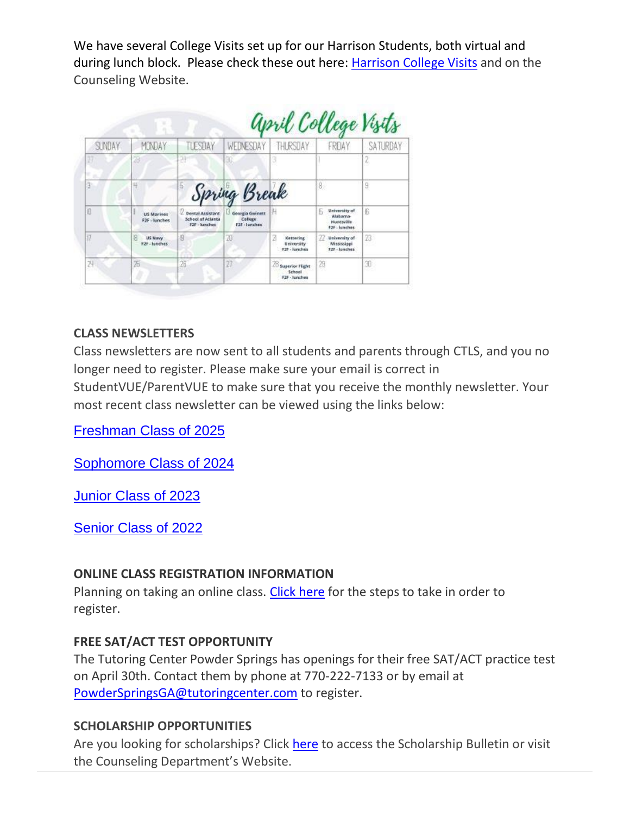We have several College Visits set up for our Harrison Students, both virtual and during lunch block. Please check these out here: [Harrison College Visits](http://url503.cobbk12.org/ls/click?upn=kYpeu9rJVSU1acS4VG0V9dP8zXnygu7Up5qBE7usQ1gjJ2KuMFhtfI2x-2Ff4v7Mfrxjo-2FzJAMzmBp1pISxXOAxaTI-2FtsKP50Bsk89nbXR3XIbSbBwhOYAopZKGB7qKoJ4CMPV3cX7W6LCqmvfUF9gdtey6zL6-2BlKMD-2FYSGM0xVXZYLWmk-2Fgr-2FUDCPQc0z1l7-2BKnWcv0JSHtPzMFy67hr24iANfSQniyX-2F4HSDur9tNwfamJ13wrpuGeWpq0jXwgGozQUh7m0xIWlBdwVvQWcLkXUNeUlxl5bgxdaM1qg1MFJTOv9svJRlj32E73MXtiBwKOqa8k90vKhuMYJUoxHnYZi71Rh-2FYFWoTgbhs05mTkXj76TBQ-2B2he-2FUxtkW-2BaylJt51CyThypx12E5BlXyf4WxEjMGpHPoCyXdP3yJDCCUy5MhCt8gCd1da7pqGDG3PxG6c906KntXIQBykT96qfZMdUGKYs2FWO5ZcagUBmn2oquQEry79o0unjFs-2FZSuHH4R6MoWlAUXvXgqikHZgK7b7sJxw-2BQElgqiD4i6tWtqGjoWWDeNPthcAo-2FMJzh5WXFwF-2Bkm77vqL6DbFxONPlcyH8qry0eVy0vympktKptuvFRI9iTl611zcKEPUDr1AqHGTGQuM12UrZc5F0QkbMs025H796hUrMMy357OyTq6qEFo-2Bo-2FHdAxkTX0cU1pL1yiwNT18q4xx3aFG0uVjIP1GBS6TYGRf62kfO0yzk2COxxoW4xV0yTNBCO-2F77Ypt8a63bYJxd-2Bemy-2FyJsPvF7GrQYsKOZMzpqJ78jJhXycRUuBezBYHnMrm-2B98Hue25VOTZoBeSqUgWlzZgvo-2BTnWmffZqv0mZn0SvvCyzp1AKNSOcW5SuAep5S7Knmlntbnd4K3Gt3sIrCrELqxEnq3ksk-2F-2BkLCKsL64gwqJy3SFU1aaIlrQG29NnUmXQH8ZUSoRRlMCycIcKVws0AibG39eTBqbGLihInFzvpX3X3AfAWBUMMjgiDJ-2BfLE1v40ngOBD0-2FUwb2XxQnZWN6DQLTXJ85wht1tg05Kt1tg8ctbdrYSOob4ZIrh6RpdG5Yp4HcTSbs-2FaJQkjc0nI0Rpn0ZXZXjablREYX8u-2Bzrcn4qiP2e0k5StGmIH4nMw8LTQkYYY5tvo6UDIB8nV2fdOJdZQEVElNJzH4109cK8IYusIImISt2dHANgtk5pK63rwyslPAq979XTNwJb0s5hZFbnq4wmWvqdz8-2BMx1hhiC76fOnjjBka0A5ilOSr4X83RwGGHRoEZbPajmEX3lhOzr0HxNkyYK4-2B0FKbMqwbZjICQCt4Ppoh80pRcfSee66vchJVepZlDlDOZlQWTO-2B5ltY-2FnwfXLI5FnrsWi9mt6-2BPz9ecdabghdp1tAAQaJEkKTrG-2B8bsKZx53S9UI-2FR-2FwXJLahtGFaEva-2F8XBmo47KJG7ssY3bw-3DBCpL_W-2BfLYUoUwwI1tuGClKRhhPOSepcZIFoXnUIMjiA717kQ1i13BNQTwwJ9cl-2BWArXr6-2FDxoCbNFrRaplJKtN7fZ8-2FYatcHKGqAwwwvGM9nASH8dIzziuWWcjYw7Yt94mI4ob8ekJknVq5Oy1CBLYKYKlR9EexDnkF-2BrbdFBDnfkWxuby6NgTv0Padfp-2FCkfdAh4Kss96vDAO7q8idnlzjRSEGidEBXH0SzPj4BGxRhip40MiN13LXv-2B1OwH2Kbold9nPFZJbozvTQrQUd6pGdYpQ-3D-3D) and on the Counseling Website.

|        | april College Visits                        |                                                           |                                              |                                                       |                                                              |          |
|--------|---------------------------------------------|-----------------------------------------------------------|----------------------------------------------|-------------------------------------------------------|--------------------------------------------------------------|----------|
| SUNDAY | MONDAY                                      | TLESTAY                                                   | WEDNESDAY                                    | THURSDAY                                              | FROAY                                                        | SATURDAY |
| 27     | 28                                          | 29                                                        | 30                                           |                                                       |                                                              |          |
| з      | 4                                           | Б                                                         | Spring Break                                 |                                                       | 8.                                                           | 9        |
| i9     | <b>US Marines</b><br>F2F - lunches          | C. Dental Assistant<br>School of Atlanta<br>F25 - Junches | Georgia Gwinett<br>College.<br>F2F - Junches |                                                       | Б<br>University of<br>Alabama-<br>Huntsville<br>F2F: lunches | 6        |
| 打      | я<br><b>LtS Navyy</b><br><b>F2F-Hunches</b> | 8                                                         | 20                                           | 21<br><b>Kettering</b><br>University<br>F2P - lunches | 77<br>University of<br>Mississippi<br>F2F - Junches          | 23.      |
| 24     | 发                                           | 26                                                        | 27                                           | 20 Superior Flight<br>School<br>F2F - lunches         | 29                                                           | 30       |

## **CLASS NEWSLETTERS**

Class newsletters are now sent to all students and parents through CTLS, and you no longer need to register. Please make sure your email is correct in

StudentVUE/ParentVUE to make sure that you receive the monthly newsletter. Your most recent class newsletter can be viewed using the links below:

[Freshman Class of 2025](http://url503.cobbk12.org/ls/click?upn=kYpeu9rJVSU1acS4VG0V9dP8zXnygu7Up5qBE7usQ1gjJ2KuMFhtfI2x-2Ff4v7Mfrxjo-2FzJAMzmBp1pISxXOAxaTI-2FtsKP50Bsk89nbXR3XLeXw5RieC3J5OQl8P6Ni6XYZkiz3XKqcGBFqq-2B20D-2BQZjEm9NMWIizgIzZta4OdUEVghphitKr9LZ5IYb-2BJtu-2BJpiyISx12hf8AMFUyDeE5rB0yIOeF4d7FWHWRlx8gnfZyw-2FvxD5FKq0Lyn5zpD0wPLCd2sw3GV9owTfkLXvEqullP6ciO2oiqEP02NOe39sunmwDr7EKYctCRKaudJfyCw-2BVWFHSZbM6igeLAv2lMSqPZ2zoyP4UW8b7er5v9XbqCawi1WrZS0nH4mQNtpOVSX8xoAIieu6NfsCbgotAv9LfWk9EaPhZdkL9skp6V8Ylw-2B-2Fhf-2B9CKIJcqcdWeImA9FXC38bD0XpIAbsm6LcUqPv31iArlBoP51k3PnPIwNEPkgjDcLSj37H-2Byq3k8PfBZcSbHfYP3KpDtKZ0Ms1M2YTKpT0WAXD4iNQqpLxkcxUd7Xl-2FZp9tqhz1TW1XLNSJu64FQmhzzvL1zUQnx4WZ6Z3ApezgCl51y8N-2FREuldc-2FHj0LyN-2Bj2DFty8ykFFaim5ErMk-2FvFLDTFvAzdrLR-2Bn7Xp3s-2FcAXvlDIIfkGtq4aQspdgBOVXRjpdOReb6oFCxmdHO4NfATp-2FJke3xR8wyltYoQlgqaNxazuvg42PcHK6r97O534K-2B1UpEpie8fN1FuBN1YzrISB-2BynY5k27MmMY0KMimkzrqSitZAAdC-2BaKxZD8a-2F-2BnTg0ql1Oy6abtYYl6fHOez1FB3WJzVMClPne1sJW1kgl4fehqlKsjUmitLe9J8M6RQ0vAsHeTSrOlRQSCjY4-2F-2FD6ltgjugLem7QzY-2BMJ1xgHPs-2FQiRgRgyVb2PDHc4cu-2FU245Ut0Je5dX4l7-2BKfov8kpJozVjUqZMwtyA0P92pqfRVU0MqypcELRa-2B-2BKyPbYIFWyBWqAvUeulSdyftKZgZr9Sl6GkkkoLgt0wsDikWyiSA0OpSqbou8iRus1vSZnnvtcUsQYQ0vMuGamGHY1ONTFfHxrc9Fk8BG4MUOjdvgalSwniCyUaQ3vZzDBRcLLvhEfO02iKDe-2BjQu5LoxrBhHYc1AUdUaE52gAhaNqqrokXxjs8dnNtDODOM5gefUgTF25R49P-2BIFhR1olKMr-2Byo64PQIbLfM4JJ3PbKWD3cNZxWB0GmOX31Abe3E3bxGmRYwrxZZq-2BKCo-2FQ8q3j2_W-2BfLYUoUwwI1tuGClKRhhPOSepcZIFoXnUIMjiA717kQ1i13BNQTwwJ9cl-2BWArXr6-2FDxoCbNFrRaplJKtN7fZ8-2FYatcHKGqAwwwvGM9nASH8dIzziuWWcjYw7Yt94mI4SipTiNxVBmkKLJgIEO2G6DhVrL-2FmuWa-2FXLL9gexOPAJVJ-2FUP7XzT2VHr1gh379tzqKI3EwiLkDAP9wixWbqfuvmUQpSu0FuUk-2FOtMguj18-2FIkP7Tdk3EYSkH0vNlzYmTfCU2Nne1CWTh1GVsUBCUZA-3D-3D)

[Sophomore Class of 2024](http://url503.cobbk12.org/ls/click?upn=kYpeu9rJVSU1acS4VG0V9dP8zXnygu7Up5qBE7usQ1gjJ2KuMFhtfI2x-2Ff4v7Mfrxjo-2FzJAMzmBp1pISxXOAxaTI-2FtsKP50Bsk89nbXR3XLeXw5RieC3J5OQl8P6Ni6XYZkiz3XKqcGBFqq-2B20D-2BQZjEm9NMWIizgIzZta4OdUEVghphitKr9LZ5IYb-2BJtu-2BX6-2BwvmDdQb1o9RJfCFCmipUMB7em12BmWo0WKF5hgnpLZDNMjkWXOCkz3cPWuehWSXCFM7FxqKa1UTFEzddIZMxekfNDIVGnflRq7CrGOT8RWo57v2k9OOAmrvbkY6Aa6Tu5Xap-2Fw-2BSiz-2B12Lx9kHoPABjMxjdZLRm-2BX2oo9v9FZnGx-2FAinW8szwI3vc6S-2Bql-2Fu-2B5gfsvAf7e-2BfmpssxETv0jK84rC4wZLYRdnqnf2zFHT5hc0ITZd5pWmWCO1dGGbVv-2FmXUujq-2Bu5-2BioPxEwKJlaoLdWF99PqJJX2CQpxoIbLalUP75b1ZqMPJBF8HqjN-2FxUf-2BSDyW-2F9O-2Bwo2Hmv51-2FEi8pToQKh7DtcI7-2Fx3Svwldy4YWQFbdj1yHRX8AsdTRb-2Fucxg3t7Ich1mi9lY3Dz-2BdD8t9vgyl45dCfNUWYICIBvXh5kPiyBrixH5fMG1iaO4v1qstuC4ng5ox4HVxN0IEYXlogJF1wYJIn8sK7Zb1q-2FgV6rVCfS66vg3j5OLrUSfUzfc0dy-2BXMeH6pXhp0Ev9YHiIJk7iI4mjqze1Hfe3lMspLgoHtiqfZ57QCGIjx7hzzzVEha1YLXMl6xRS-2FPxu-2B0KDz-2FKmAfBRnAtcaz9791nsBXX55rMSpvuR6inGOXCeZjc10r-2B85n1NDgwDVxl78-2BCFcoZtOsK-2B-2Brf-2FwBnk36yt419A-2BkeFtg7fejKKYkm07egOfEYBlDL4gM0FhFZt1m-2FFS4f8RDWi4usQLUdi9KOc-2B1fPzmXg-2Fea90LcDF8E3KZ-2BZJ3-2Bk98apCHvyDvDS3owsQ0VwR0OpTq-2FGn-2BOdsJagZvaFygXTWN9dtCo31HW00Om7LjpF9jnyCzOfopf-2B5BpXXGtrpL6SljZrnCs3GK-2Bs8JZrm9C-2BuRcPTV9MbsoQVqHnz4d-2BWxLtXDRYcZwTYi8x6k3-2FxIVrwm7u5unFqDx5OY77lzffrB3lIU5HMeVG1UsZeiLy6TvgIbG-2FYJKSpiILiKtt1-2FfF8SE8QEIwSo22NCZLyrugsxty7vMg302m7-2FUspLJkKhD1-2FFv4LRiXLIwIMIGHq-2BIULi-2FT3c-2B34-2B8RXWffsbWyJMj0yq1ieH_W-2BfLYUoUwwI1tuGClKRhhPOSepcZIFoXnUIMjiA717kQ1i13BNQTwwJ9cl-2BWArXr6-2FDxoCbNFrRaplJKtN7fZ8-2FYatcHKGqAwwwvGM9nASH8dIzziuWWcjYw7Yt94mI4kwdRgRcZMvhvU5hNOZpZkiuo8QvuN-2FhU-2FtyXIs6KbZBXvgCjc-2BjZoEXR39Okg4ci7AAeRcmQiNLGus8EeCf-2B9-2FObwj7BW2bB6xp4G1MkHzErlbOFm-2B5re-2Fv2Cj4DcER9lfugNNZbkbnN0-2FJPfRi83w-3D-3D)

[Junior Class of 2023](http://url503.cobbk12.org/ls/click?upn=kYpeu9rJVSU1acS4VG0V9dP8zXnygu7Up5qBE7usQ1gjJ2KuMFhtfI2x-2Ff4v7Mfrxjo-2FzJAMzmBp1pISxXOAxaTI-2FtsKP50Bsk89nbXR3XLeXw5RieC3J5OQl8P6Ni6XYZkiz3XKqcGBFqq-2B20D-2BQZjEm9NMWIizgIzZta4OdUEVghphitKr9LZ5IYb-2BJtu-2BvUXh4-2B1e5CnpcohMGsoVHWnu4mG6VnphBDYdpjJ1NT4BWTLMNaEIo4-2BouCziEvbjv6QAK3dv9bGS8GcP-2FVN1bLwvZHYKSaOQrT3y-2FRtdRhzQK3XX5Kl7K3djjMEEfcN1prlw9g8H3iYTSR9h3lSamZwjzVkCHAM38s881e19h1SjYVIlRIGGcMF1pOqqLU8GEOjkq0LpzP3h2Sb1LT2vVpOGRlyN1B3H5O3xunslFEa7tU9PJhjo5mb23M1Mub3uwzFrIEGttmHcpiNv1BzAZ2NmZP-2FHWYbSRbyjRhJinmp4pkyR4qn-2BAIhOI-2FfArqY0kyqGENHXrQQqHpW7uyONe-2BSEHhgJa7mnTvaAvoM1w2z9AMIK2-2F-2B-2BumFc8PSVxR4XYKgf-2FZ6WYAjNk6fVDpbeZdYgvUPF9kYHk83FmFD-2BQBF2t0OByFz7ovw45KTPqL2xxZv4hpZlEGz2YCbxjAoLyidP25BsnKEiQOhIWSwzD3rJUQ8wai8Sa7mfc9eEyRCQ63qVKv-2BtTF-2BNdzbyRuYIpgkf5Rxqctm0-2BMPG9oAXFD9Tnv7aTWE0ir7s6tkNrh94tlRjQxC2lW2nx-2BOEJ9FHGT83LaY1pI4sOFRdRpzTAcg-2Bs-2Bo-2Bd2Q4ezelBgM76EPgfJ7zpR50pfjRPAyR-2FLswUa5g5T-2BGd0gEYAxM2b-2BPTVDEwqz-2BJttfDjTljIoqJNcKBaibcKIq-2FvBp-2FR4ZpvENCpClR8sKPaEn9-2Fkd-2B0vn2XWx4fmMvEE0-2FMzpbK05OkE1hPj9B1DnReIlBSWYUazdb4A2CLtxTxCpaxjf-2B-2FfzIOK47i-2FgD5muLnzctiluyBQtbTj8Z63SiAAZZDTZ21H0C2R-2FSHov9GaUHkjtYvrToKhMA89MDCsXeoBebmOAMCMKFfAoXtr53EJ7K5P6SFUKrr3yAZcqbYB1-2Bl5EWFCzG1JmGzZJBuwSX8jZgTyzIit7Gb6BaXEU7b5AU-2FFMEQTvmRMOCpNhxhn-2Bprg1zqOUqOM1iWmWh32WLNB-2BWH2NKHbF7BtHC7d2q4ATFXmvxwicZR2IAYtOJmxxy2FiPVDW-2F3Ud0Zq-2B-2F-2BSCnWjN79vK2oPPNLRH_W-2BfLYUoUwwI1tuGClKRhhPOSepcZIFoXnUIMjiA717kQ1i13BNQTwwJ9cl-2BWArXr6-2FDxoCbNFrRaplJKtN7fZ8-2FYatcHKGqAwwwvGM9nASH8dIzziuWWcjYw7Yt94mI4rDypAQErayCbBId8Rn-2BohPhOfuHw0WwVNroLAl7oWhtU8ECQurj-2FJ58Ma9jbmBmzasW3F2THQWRV26lNTsql0lYmB053JNehimBAC3n8zAivpG94ETSrQj8J2RLuAfyBNOD-2Ba-2BC9JkPe3vpWcD3s4Q-3D-3D)

[Senior Class of 2022](http://url503.cobbk12.org/ls/click?upn=kYpeu9rJVSU1acS4VG0V9dP8zXnygu7Up5qBE7usQ1gjJ2KuMFhtfI2x-2Ff4v7Mfrxjo-2FzJAMzmBp1pISxXOAxaTI-2FtsKP50Bsk89nbXR3XLeXw5RieC3J5OQl8P6Ni6XYZkiz3XKqcGBFqq-2B20D-2BQZjEm9NMWIizgIzZta4OdUEVghphitKr9LZ5IYb-2BJtu-2BmqwkZxYpu2-2FyGNTO6INi2vVOCxo3WEK6pviG8k78sMRqBoH8wL15cuvMDepvb246TzkrxoIgqSnjSpwovtwO87FdHTbXRDWkuMfmu3bA8LVQ4F8QqA48-2FxRtniWpFL5P4aGB5WuxOzIMgaMLJaIHWlznzPBIm0cRCNwpzXw7b5Hlet3qvGv6bGvujy4i21RHWcCR-2F04D23T2otCDhy4hhdOkk58LU2PMLhTuTD-2BolFosVgKDxNUUIsP5HF38pR987O5dRwTfyYhEmgGzW6bbDHSsOVKCpUJId14EAA2sEJXZsOTzuJ5Uj-2BRB4Zf3rX7f9O4bQuRWZWMxVRVEsr9-2FAcqH8gc5k8BqZACbx-2B5aYpx4pjTkFg-2Fp96DixOrF5ZsmMdrWSwS1GxlLL4dka5Nx2H253RP2-2BoTl-2FdzWE5jVjnIZPHIJwmtoT0oAHW5xsF40JJCsXJlyBOOJqwGs3xSxlqhPN1upVwBDBJT-2BlSwoOmdKISrgBQC7WzDvJNmwz3dsuq8U1LN3zvqpabMxXc8BAlRK-2FV45vd7E3fO-2FTWM5mJiQ8sHBdjniZmLzK2raouiWfK-2FZocBw9AS6cloTdlJCMPI6yJiOX4-2F0aA-2Bi8xV0bDFfhl5PAHsZkkTiteTHtbdRKa8TWoQVX62yodR3RJuBU0o80Io5U23GSd1LKKzFQ6DTrqA8B-2BAZMOHJVJpg7Jg8-2Fs-2FKI6vOu5kzkP9QILpDDV1ETpEP2SXi7akK1zp23vVVByYc2Tkl9JKimfnOmp2fFXuXgkaFioWPEE3gQg4wtKv3HumuvHFaACDZfUnHMgPcjaYxyujzd3JgqIVxjIEA07gmiZKgMYALF7-2F2m0zjvtRjojkOTeJ7pYa-2B9l-2B-2BJ8kOP-2FIBrRYUvaGPbvK9qmbu5M9VHF9mk4-2BXrEHbUt2dzLQXW7wasc6SxceOPqhKo58zRurzdtBAFvrWfEcA9vCXUkgwCncqto-2FsaoliFSfRGjK50ql4eQZgpxHbTtRtbJdg4zlizMwvEKn5zohsDxMtcf1JuMD0D3vYgp6XdngFXA-3D-3Dsgnt_W-2BfLYUoUwwI1tuGClKRhhPOSepcZIFoXnUIMjiA717kQ1i13BNQTwwJ9cl-2BWArXr6-2FDxoCbNFrRaplJKtN7fZ8-2FYatcHKGqAwwwvGM9nASH8dIzziuWWcjYw7Yt94mI40Xg4uRFTkBrOOH-2FvHoWFyLTQtqDTGgODI8lStBBNobXTpWdjxfFuSXrexYQ6N1pHDJ-2BElfki4QhY0QoZJRCOauuXTy1SKV5Dl3Vunvn-2B6gSU6IjEZEyHlO2mn1mJKAI21j2yUKo4rofSZ2ODgSWyLA-3D-3D)

### **ONLINE CLASS REGISTRATION INFORMATION**

Planning on taking an online class. [Click here](http://url503.cobbk12.org/ls/click?upn=HU5K2q0Fz5ADTGboxPzOzV-2FXL0qE7BYVJk79MoYchrYbbls5KAB6sMjYCBNxewLbwLnmXvABLF1ZFE9y2zuk27f03-2Bl0172st-2Fqy-2FD6RJIyJcrpQhvfAVbXsjziFU0DS7rU5_W-2BfLYUoUwwI1tuGClKRhhPOSepcZIFoXnUIMjiA717kQ1i13BNQTwwJ9cl-2BWArXr6-2FDxoCbNFrRaplJKtN7fZ8-2FYatcHKGqAwwwvGM9nASH8dIzziuWWcjYw7Yt94mI4meSau7BsZTcOSuvrzFZA6pw2AT9blo52UeJEyyQSxMRZR3uyLNBiiUxgVCxNiL-2BVmcAz7nINeH9waXxf1nJkgYzI0Yge2WvvTIV1N8oJfkLKNSYxSqG1SQdymIiHzz2d3woSCGx1GA9OH7TaruziVw-3D-3D) for the steps to take in order to register.

### **FREE SAT/ACT TEST OPPORTUNITY**

The Tutoring Center Powder Springs has openings for their free SAT/ACT practice test on April 30th. Contact them by phone at 770-222-7133 or by email at [PowderSpringsGA@tutoringcenter.com](mailto:PowderSpringsGA@tutoringcenter.com) to register.

### **SCHOLARSHIP OPPORTUNITIES**

Are you looking for scholarships? Click [here](http://url503.cobbk12.org/ls/click?upn=kYpeu9rJVSU1acS4VG0V9dP8zXnygu7Up5qBE7usQ1gjJ2KuMFhtfI2x-2Ff4v7Mfrxjo-2FzJAMzmBp1pISxXOAxaTI-2FtsKP50Bsk89nbXR3XJqZSv-2FVbMhzhvIjbesFMok5kni0gmZBsrcpVjqFLqKyAleYuhcOcqSD9kvtfV17UEPAdhWccTHXzWkDyV2S3H-2FK3khcuyPw4ccDfdakrFCDUHMNR9zuEgA2E28Xd7wFk-2B5bttAa1ZwR497zGm2AEO9HEFaat0wusIRkB8ar-2Bo1WbZ3XlBX93IvOB3fcgdCqk07Y5unmorKTr1qrsg3hZHrP5VSveYEOnVhtjChwmzoA0XZHI6s18CJ4yVaI8g9xPBCPzOg31Kat5pDetsihhImAeDG9lWyw2odVECFRbX92rozbc3Y1xj4xLPqspd4lK7cPzA8FJjJkev9frWP2hTTDsIuZSPhAkmun7PGbNhvTGCHsQQlFVjS3QynWWVFbpVTKIoRbaZNB84xpSuIMbmOHZxnyOAazloTc6tFUyK3V7ZNuBoYCYfxT012c-2BTdg0PZrPgOYIHe-2BDMIzzW2HurO5u9OmLLW0oigHfdIeZr5xfxuMCyBlrk7YGbhK5p2Or9YilRgRIannqxZKQGkdCUCewIdfebHvbLI3OftTNbs5XTzym0dn-2BL-2F8SHYQEFxCdhfLxciqhYhz1bd23DWfDAXg3fWIRp4lQpR-2B-2Fvzq3ZmNozTwMdX6PDdBExrAqNltr6eYZ6Ew3HEmHFX7ns3GSUZL-2BkqbYaEx-2BNhRjz-2Bi9kpv71GeIjB3gnYvttX27Huj1BbJvzGlNI8WMzgaXg-2FAF5EU-2FoBQT5ZSLyfFSJs7uD7t-2FWX1zlQ8EhG16uBW-2BftBDch-2F3nr2GKW-2Fl-2B8bS3jaD3edjMt7GEjD4PHOcOAL8DLkQNPRRepfIr7tFhLj3ftLd93CsC5c9Uk6W8LvA0sc2HGSnvRd-2FRTeWGoMFDZWiYh2O2rh1gMuTtgC041eVYuT9g3eNmT2BkELJSZYS9gReNDfilxPVCYW2xH7COL6VIqoxak6djeXw0lBmXovBHkSNkwWzRHwLvFkk-2B5Qw0v-2F4CvI4IWVdhZqlAWBHneAcJ9YCxl4csfRdSuDbWQmAqqWCv5GlnFXzV9g3iDjjANgSenJ-2F24fQl-2FHsvh-2Fbl-2BSBatwjH8t1A3wcEIs2FM3Htvor-2BxKZ9MOWZIKX5ED1VEMZqw9H8AfTUGlRyTEqIfEzWgrYiIT-2BLKPmHvLkyzf9EuuQRApGXdyFnhjicay8prjg1Z7J0UhctgKh4Q9Pfh44bj2yfP5-2F8hxj06kSPOu7Uc09M-3DjN2j_W-2BfLYUoUwwI1tuGClKRhhPOSepcZIFoXnUIMjiA717kQ1i13BNQTwwJ9cl-2BWArXr6-2FDxoCbNFrRaplJKtN7fZ8-2FYatcHKGqAwwwvGM9nASH8dIzziuWWcjYw7Yt94mI4iFIa533yfAgG4-2FFJoab0hFEUoOlIA4uTxuFarsJpxTCqNJaF0u8etpR1V3npwfgqVI6Z4OvGsZhEzL3Z2CScBSccMqaQ0wU1U-2Fu5tqAoxMqvdeE9Tte51-2BoL98-2BAD5gSuEcIwJDy63n0pBjMTt7MXw-3D-3D) to access the Scholarship Bulletin or visit the Counseling Department's Website.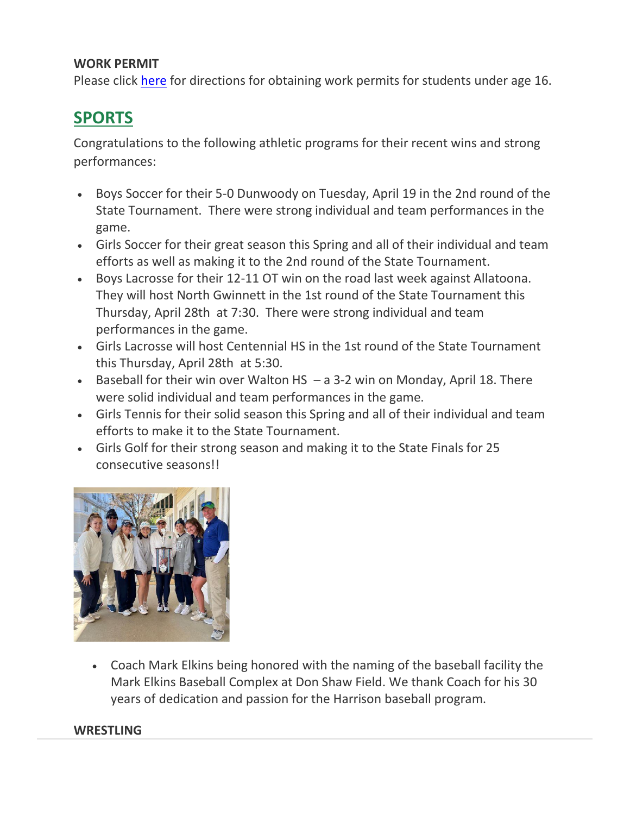## **WORK PERMIT**

Please click [here](http://url503.cobbk12.org/ls/click?upn=kYpeu9rJVSU1acS4VG0V9dP8zXnygu7Up5qBE7usQ1ge7I2QSEuv2APaQuIa8x0SfNNzVhu-2FzuTLLNHDo4H9B-2FS-2BoCXMUyalfdWpWAjyUruOQDrLIO4eq-2BnTvyBJSpkgPL1ReNl2tnYjOAFi1HMUi-2Fojemh65xTmKnSCSVRFTAMZg98xbQFcZPOR1eY1u3FmJX-2B3AYYMpa2KlYrUQ1iZsin-2FSkxQgcT4pEr7qhPFzLJlyVQytV7V1XKbg3Z9Q0xLvxglUAtMyh02F03eIpaDI05BS3HbfzkRPKRqgdfVz-2FSQS3QCqXp0b5hQZg-2Bu1TKOMFM93OcIZALF9Z3exIO36fqz715iL2WpNUgZbdXB3zhDAf3Msnwi7ZI-2BiXF7HuUXhPs3aME-2Bak6RBYHG1ewqHjDKRWfjw8KXUFHHEL-2FMlp7-2B3NEXjOTvs4IJsd-2F30BErSiRdsMluofozMwqTP4u-2B2E9qvyuxniUSuW95cdMvDjyyTw14yQmelTgtQbWs8TCEjOqalB0lUTFGNqlrk9gQO61uSgA2O85uuxgFk4Iwutk-3DeVd5_W-2BfLYUoUwwI1tuGClKRhhPOSepcZIFoXnUIMjiA717kQ1i13BNQTwwJ9cl-2BWArXr6-2FDxoCbNFrRaplJKtN7fZ8-2FYatcHKGqAwwwvGM9nASH8dIzziuWWcjYw7Yt94mI4FO21X08iX0LM6OpQeQLiCFyLVqq99CMYSuTKDMUlSkUH8i0euR7tfE2sZathDyWFPQNE3MYaehHInL5WETR52UegEtAhLUoYPGyp1GgpMezpGZB76-2BdNdUEew7wmm64rvNFIUx22fBHt5K4JxMNCzw-3D-3D) for directions for obtaining work permits for students under age 16.

# **SPORTS**

Congratulations to the following athletic programs for their recent wins and strong performances:

- Boys Soccer for their 5-0 Dunwoody on Tuesday, April 19 in the 2nd round of the State Tournament. There were strong individual and team performances in the game.
- Girls Soccer for their great season this Spring and all of their individual and team efforts as well as making it to the 2nd round of the State Tournament.
- Boys Lacrosse for their 12-11 OT win on the road last week against Allatoona. They will host North Gwinnett in the 1st round of the State Tournament this Thursday, April 28th at 7:30. There were strong individual and team performances in the game.
- Girls Lacrosse will host Centennial HS in the 1st round of the State Tournament this Thursday, April 28th at 5:30.
- Baseball for their win over Walton HS a 3-2 win on Monday, April 18. There were solid individual and team performances in the game.
- Girls Tennis for their solid season this Spring and all of their individual and team efforts to make it to the State Tournament.
- Girls Golf for their strong season and making it to the State Finals for 25 consecutive seasons!!



• Coach Mark Elkins being honored with the naming of the baseball facility the Mark Elkins Baseball Complex at Don Shaw Field. We thank Coach for his 30 years of dedication and passion for the Harrison baseball program.

### **WRESTLING**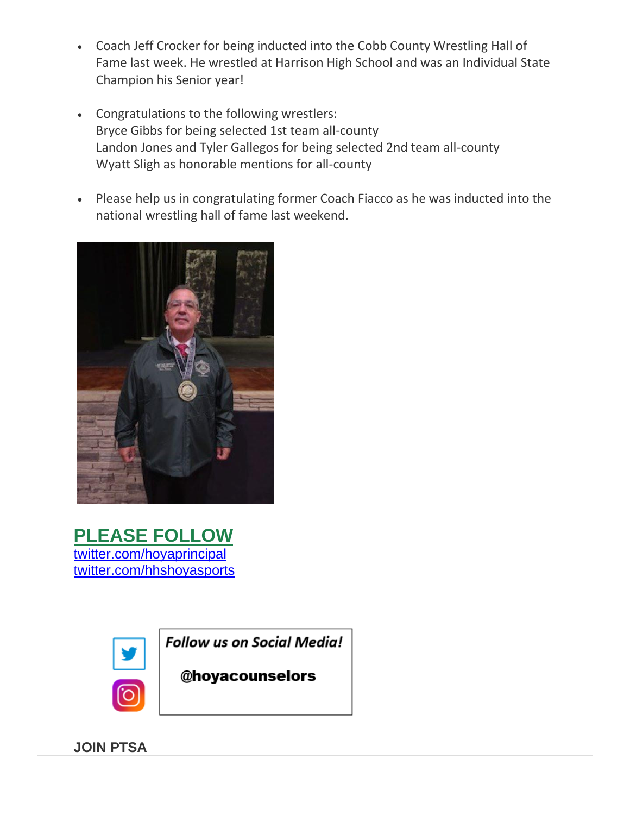- Coach Jeff Crocker for being inducted into the Cobb County Wrestling Hall of Fame last week. He wrestled at Harrison High School and was an Individual State Champion his Senior year!
- Congratulations to the following wrestlers: Bryce Gibbs for being selected 1st team all-county Landon Jones and Tyler Gallegos for being selected 2nd team all-county Wyatt Sligh as honorable mentions for all-county
- Please help us in congratulating former Coach Fiacco as he was inducted into the national wrestling hall of fame last weekend.



**PLEASE FOLLOW** [twitter.com/hoyaprincipal](http://url503.cobbk12.org/ls/click?upn=kYpeu9rJVSU1acS4VG0V9dP8zXnygu7Up5qBE7usQ1hl-2BbXZEOGQ6X82aA4mqq3GK-2FnIKHrEzI-2BVNGueysojXJTCi7BkHGswpHhRW3nvSMeLEdY3OQ-2F-2FVrNc64yTmFzdyFkr8QFqJFVu0HZd5DeW0GXvboqGdrGq-2F-2FSzm1EZ7hFcl9GugboPR22JOOvITx8xeJR1-2BHzQvzpY6XPxSMMQCl3O45UODbdeFeHjbBLGgMboy6swiyYfN0hQqmVMV8fUJdWl3ooJ3jpSIwd8DpdU-2BqbzZ1Y3279p5vR41C1KO-2BcEifoWEv8jQImans7t1qMKLj-2FjiOu2-2BaTZ5L2bC1YvQ7HEPgm4oedy87ynbyhD-2F-2BK3-2B-2BKd0yyO0Um3Vmx3jJHzw8u6-2FwKEYHxLzDU1E5UHCCzcQy1u-2Fz0r-2BvBADeBbW5EeGjJPN2XIoHptCM6fEkvdOxlupPLhKauH1GOn5JHuYFjkqALlip3-2F-2FuS9vSazawYqTupCFCwob8z8qY2YMR2MyIipKb-2Fj9IY1ZWHKLsWSS4hffnfgey5G7PfU36o78ugRjvJEye2VjH9cNWepvqLIORTOvqJ8-2FUxnBUPqeGhl4BWwFoWPp9ho-2FEdgqUdfazHKtQIW1ucmNG1unWM8k2C1yF7dVGKa2Draeg7CFnNPLfXjTaMG4l6-2FxblQFvyE0Tq914JuMhPP8XDp9a3mZatVsTcxoa9dPUo-2F7yEG7ZtnmS3QqTxO5p4ERjZV9VaPW7C4-2BBPBrjmx5ODpRAXU1sw9fLsrU4cH1ClpFvrngrrkT9G-2B-2Fd2X80VCq3lsthq-2FSUHexkhcDLTnpBvk6wprqcLbQVDTUKmj1rTUBrMXJRU1mAwt7gEAcCu5EpM3LiYKYqGMl8jVHk-2FAGdhDDV1cT8avC3yqCdWikX-2BHI7Wsc6XIaxB0iU6j6UrOO6Fff1oMVC3rOsJiwz49jRS00fl8voChLDSWFkZJeojqRkSMh50yx9b5YCE7hY1LAcsbMnXWSbVIeHAzMqLEbr-2FPAa4wb-2F-2FJKYx0vbOIGZbGU-2FyqqsUOkQ-3D-3DkY5M_W-2BfLYUoUwwI1tuGClKRhhPOSepcZIFoXnUIMjiA717kQ1i13BNQTwwJ9cl-2BWArXr6-2FDxoCbNFrRaplJKtN7fZ8-2FYatcHKGqAwwwvGM9nASH8dIzziuWWcjYw7Yt94mI4WLn7jJxHoWftBd9XnWrLJm1W3c9-2B1CDT5IYB-2Bw7mEFhiaR-2FYhbHdNWCUasOn6XcL3NRbC80-2FxSl52N8cAVNvdLOd4tM1iQlmxv9iwY0-2FGVtj7ng9a0jkSzOcZP-2FYxAb5FPUFfJG-2BYpFxNKluo5iTbg-3D-3D) [twitter.com/hhshoyasports](http://url503.cobbk12.org/ls/click?upn=kYpeu9rJVSU1acS4VG0V9dP8zXnygu7Up5qBE7usQ1hl-2BbXZEOGQ6X82aA4mqq3GK-2FnIKHrEzI-2BVNGueysojXJTCi7BkHGswpHhRW3nvSMeLEdY3OQ-2F-2FVrNc64yTmFzdyFkr8QFqJFVu0HZd5DeW0GXvboqGdrGq-2F-2FSzm1EZ7hFcl9GugboPR22JOOvITx8xeJR1-2BHzQvzpY6XPxSMMQCsN3bxbohnlSJIW6Sn8eNgcg1XeUheRov1S9VyiwWCP-2FIAECFtksyH4NhdpMqCZlpWkila1EEg-2Fo2xCf1JCr5yHqv9BFLprWXQtMNnIvXdJEGsb8r0haXlcJgomQBh7IFgzXY6ZVgODpsBLdprP0yrBWFOOF53epUrofqUvs2dTGcgQEOKj45l1EQNKNHQskbh92Wp-2FyeO0ymRKtuIgcChXBu3gZea-2BE-2FPMHtjW-2BTD2VxXaSCMlWtXlEid35BFRVhGNQ4tYYUMw1Aq8l-2BdZszA1WH5dUtzJ8uYfczGhp8jPwq8-2Ba-2BEdncLfJu7lDpuSJeEv18jd8HEFP9nBFAlNXPcNDfQfgfARZp6FIpWpo35kN17W9F-2F7DYSNPOQDmmleCCy2Eqj2HYspI8XpiZMdeBU-2FgbAByVVLMIeKKewf7tTTeLWcn6cohEC2c-2B7YFEEWOM1ej4HogrL67V6ymGAOjgaa6PFD-2B4gVWico-2FEBvGYzPnN5EFbftjt8oHks2phkfKJ0e889jPekeiwJL0vOT5ZE-2BSbwKnzfk1XQ1sQIV66eS2IFZKZ38ZHvIimZk6VnBu63pGymsKf5h03GvXT00JAnoHs-2FOQdZ8PUXEHzaIVpB-2FfRFp5DdZx02R8VSv25hHD41eUEGMvt7E81VvnCQNXdq4keiiSbrmG9SqE29cBe4jK4xsbs7G9evvX1oYKPNiCZCok1Yawvzm4cpReiDTFnWVpDjkcYWWKcW0VrTZGTTQJ5jucI-2Flyv-2BOqO7eqG7dwyVCNjxOqwgUNSeM9kAyeMUVkxX8LhZQqhjPKZRqPlXOS9AHo_W-2BfLYUoUwwI1tuGClKRhhPOSepcZIFoXnUIMjiA717kQ1i13BNQTwwJ9cl-2BWArXr6-2FDxoCbNFrRaplJKtN7fZ8-2FYatcHKGqAwwwvGM9nASH8dIzziuWWcjYw7Yt94mI4IJQh1RObnoGIGHjVB5EfQmgCSO1syTmmx3wP7-2BLAy48i1Ochq35MXYMPiQeI-2BTvoAViTDBEnenUkwkHqhtyyisi5ZqsCiJyDH9dNkbiXel7-2BYd5-2FPZw7cqTSPYDJkRn4nRXixVnpafYR1Y6O2RofeA-3D-3D)



**Follow us on Social Media!** 

@hoyacounselors

**JOIN PTSA**